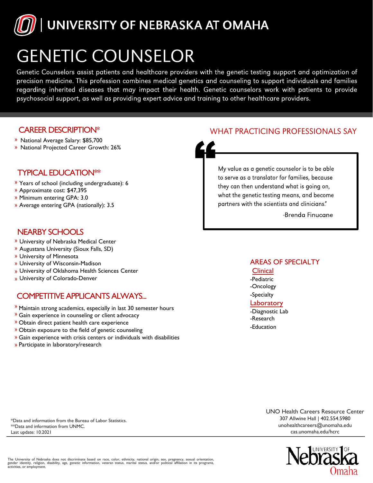

# **GENETIC COUNSELOR**

Genetic Counselors assist patients and healthcare providers with the genetic testing support and optimization of precision medicine. This profession combines medical genetics and counseling to support individuals and families regarding inherited diseases that may impact their health. Genetic counselors work with patients to provide psychosocial support, as well as providing expert advice and training to other healthcare providers.

### CAREER DESCRIPTION\*

- National Average Salary: \$85,700
- National Projected Career Growth: 26%

## TYPICAL EDUCATION\*\*

- Years of school (including undergraduate): 6
- Approximate cost: \$47,395
- Minimum entering GPA: 3.0
- Average entering GPA (nationally): 3.5

# NEARBY SCHOOLS

- University of Nebraska Medical Center
- Augustana University (Sioux Falls, SD)
- University of Minnesota
- University of Wisconsin-Madison
- University of Oklahoma Health Sciences Center
- University of Colorado-Denver

# COMPETITIVE APPLICANTS ALWAYS...

- $"$  Maintain strong academics, especially in last 30 semester hours
- **»** Gain experience in counseling or client advocacy
- Obtain direct patient health care experience
- Obtain exposure to the field of genetic counseling
- Gain experience with crisis centers or individuals with disabilities
- » Participate in laboratory/research

# **WHAT PRACTICING PROFESSIONALS SAY**



-Brenda Finucane

#### AREAS OF SPECIALTY

#### **Clinical**

- -Pediatric
- -Oncology
- -Specialty
- **Laboratory**
- -Diagnostic Lab -Research -Education

\*Data and information from the Bureau of Labor Statistics. \*\*Data and information from UNMC. Last update: 10.2021

UNO Health Careers Resource Center [307 Allwine Hall | 402.55](mailto:unohealthcareers@unomaha.edu)4.5980 [u](mailto:unohealthcareers@unomaha.edu)nohealthcareers@unomaha.edu cas.unomaha.edu/hcrc



The University of Nebraska does not discriminate based on race, color, ethnicity, national origin, sex, pregnancy, sexual orientation,<br>gender identity, religion, disability, age, genetic information, veteran status, marita